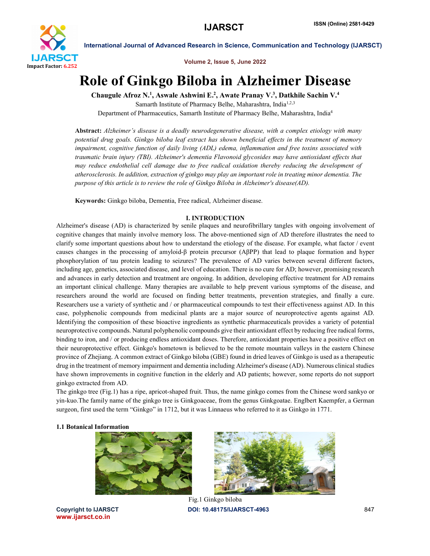

Volume 2, Issue 5, June 2022

# Role of Ginkgo Biloba in Alzheimer Disease

Chaugule Afroz N.<sup>1</sup>, Aswale Ashwini E.<sup>2</sup>, Awate Pranay V.<sup>3</sup>, Datkhile Sachin V.<sup>4</sup>

Samarth Institute of Pharmacy Belhe, Maharashtra, India<sup>1,2,3</sup> Department of Pharmaceutics, Samarth Institute of Pharmacy Belhe, Maharashtra, India4

Abstract: *Alzheimer's disease is a deadly neurodegenerative disease, with a complex etiology with many potential drug goals. Ginkgo biloba leaf extract has shown beneficial effects in the treatment of memory impairment, cognitive function of daily living (ADL) edema, inflammation and free toxins associated with traumatic brain injury (TBI). Alzheimer's dementia Flavonoid glycosides may have antioxidant effects that may reduce endothelial cell damage due to free radical oxidation thereby reducing the development of atherosclerosis. In addition, extraction of ginkgo may play an important role in treating minor dementia. The purpose of this article is to review the role of Ginkgo Biloba in Alzheimer's disease(AD).*

Keywords: Ginkgo biloba, Dementia, Free radical, Alzheimer disease.

# I. INTRODUCTION

Alzheimer's disease (AD) is characterized by senile plaques and neurofibrillary tangles with ongoing involvement of cognitive changes that mainly involve memory loss. The above-mentioned sign of AD therefore illustrates the need to clarify some important questions about how to understand the etiology of the disease. For example, what factor / event causes changes in the processing of amyloid-β protein precursor (AβPP) that lead to plaque formation and hyper phosphorylation of tau protein leading to seizures? The prevalence of AD varies between several different factors, including age, genetics, associated disease, and level of education. There is no cure for AD; however, promising research and advances in early detection and treatment are ongoing. In addition, developing effective treatment for AD remains an important clinical challenge. Many therapies are available to help prevent various symptoms of the disease, and researchers around the world are focused on finding better treatments, prevention strategies, and finally a cure. Researchers use a variety of synthetic and / or pharmaceutical compounds to test their effectiveness against AD. In this case, polyphenolic compounds from medicinal plants are a major source of neuroprotective agents against AD. Identifying the composition of these bioactive ingredients as synthetic pharmaceuticals provides a variety of potential neuroprotective compounds. Natural polyphenolic compounds give their antioxidant effect by reducing free radical forms, binding to iron, and / or producing endless antioxidant doses. Therefore, antioxidant properties have a positive effect on their neuroprotective effect. Ginkgo's hometown is believed to be the remote mountain valleys in the eastern Chinese province of Zhejiang. A common extract of Ginkgo biloba (GBE) found in dried leaves of Ginkgo is used as a therapeutic drug in the treatment of memory impairment and dementia including Alzheimer's disease (AD). Numerous clinical studies have shown improvements in cognitive function in the elderly and AD patients; however, some reports do not support ginkgo extracted from AD.

The ginkgo tree (Fig.1) has a ripe, apricot-shaped fruit. Thus, the name ginkgo comes from the Chinese word sankyo or yin-kuo.The family name of the ginkgo tree is Ginkgoaceae, from the genus Ginkgoatae. Englbert Kaempfer, a German surgeon, first used the term "Ginkgo" in 1712, but it was Linnaeus who referred to it as Ginkgo in 1771.

### 1.1 Botanical Information







Copyright to IJARSCT **DOI: 10.48175/IJARSCT-4963** 847 Fig.1 Ginkgo biloba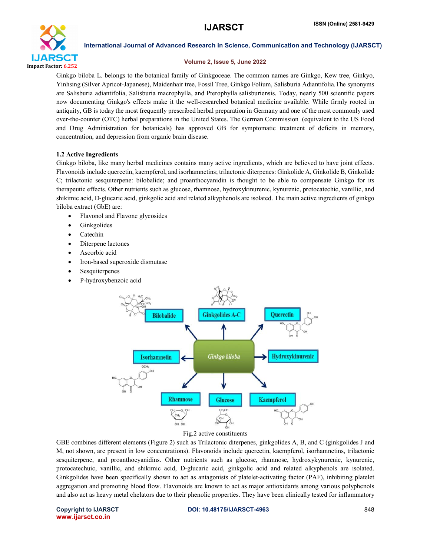

#### Volume 2, Issue 5, June 2022

Ginkgo biloba L. belongs to the botanical family of Ginkgoceae. The common names are Ginkgo, Kew tree, Ginkyo, Yinhsing (Silver Apricot-Japanese), Maidenhair tree, Fossil Tree, Ginkgo Folium, Salisburia Adiantifolia.The synonyms are Salisburia adiantifolia, Salisburia macrophylla, and Pterophylla salisburiensis. Today, nearly 500 scientific papers now documenting Ginkgo's effects make it the well-researched botanical medicine available. While firmly rooted in antiquity, GB is today the most frequently prescribed herbal preparation in Germany and one of the most commonly used over-the-counter (OTC) herbal preparations in the United States. The German Commission (equivalent to the US Food and Drug Administration for botanicals) has approved GB for symptomatic treatment of deficits in memory, concentration, and depression from organic brain disease.

# 1.2 Active Ingredients

Ginkgo biloba, like many herbal medicines contains many active ingredients, which are believed to have joint effects. Flavonoids include quercetin, kaempferol, and isorhamnetins; trilactonic diterpenes: Ginkolide A, Ginkolide B, Ginkolide C; trilactonic sesquiterpene: bilobalide; and proanthocyanidin is thought to be able to compensate Ginkgo for its therapeutic effects. Other nutrients such as glucose, rhamnose, hydroxykinurenic, kynurenic, protocatechic, vanillic, and shikimic acid, D-glucaric acid, ginkgolic acid and related alkyphenols are isolated. The main active ingredients of ginkgo biloba extract (GbE) are:

- Flavonol and Flavone glycosides
- Ginkgolides
- Catechin
- Diterpene lactones
- Ascorbic acid
- Iron-based superoxide dismutase
- **Sesquiterpenes**
- P-hydroxybenzoic acid



Fig.2 active constituents

GBE combines different elements (Figure 2) such as Trilactonic diterpenes, ginkgolides A, B, and C (ginkgolides J and M, not shown, are present in low concentrations). Flavonoids include quercetin, kaempferol, isorhamnetins, trilactonic sesquiterpene, and proanthocyanidins. Other nutrients such as glucose, rhamnose, hydroxykynurenic, kynurenic, protocatechuic, vanillic, and shikimic acid, D-glucaric acid, ginkgolic acid and related alkyphenols are isolated. Ginkgolides have been specifically shown to act as antagonists of platelet-activating factor (PAF), inhibiting platelet aggregation and promoting blood flow. Flavonoids are known to act as major antioxidants among various polyphenols and also act as heavy metal chelators due to their phenolic properties. They have been clinically tested for inflammatory

www.ijarsct.co.in

#### Copyright to IJARSCT DOI: 10.48175/IJARSCT-4963 848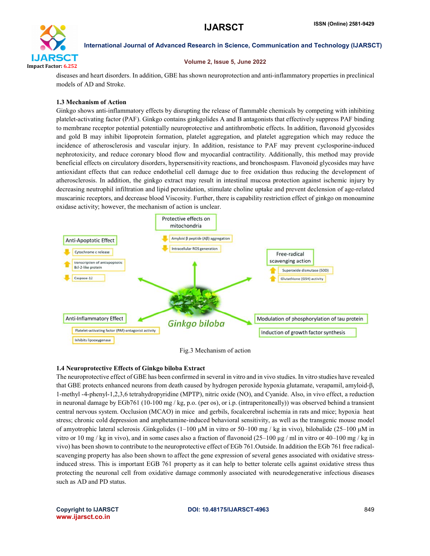

#### Volume 2, Issue 5, June 2022

diseases and heart disorders. In addition, GBE has shown neuroprotection and anti-inflammatory properties in preclinical models of AD and Stroke.

# 1.3 Mechanism of Action

Ginkgo shows anti-inflammatory effects by disrupting the release of flammable chemicals by competing with inhibiting platelet-activating factor (PAF). Ginkgo contains ginkgolides A and B antagonists that effectively suppress PAF binding to membrane receptor potential potentially neuroprotective and antithrombotic effects. In addition, flavonoid glycosides and gold B may inhibit lipoprotein formation, platelet aggregation, and platelet aggregation which may reduce the incidence of atherosclerosis and vascular injury. In addition, resistance to PAF may prevent cyclosporine-induced nephrotoxicity, and reduce coronary blood flow and myocardial contractility. Additionally, this method may provide beneficial effects on circulatory disorders, hypersensitivity reactions, and bronchospasm. Flavonoid glycosides may have antioxidant effects that can reduce endothelial cell damage due to free oxidation thus reducing the development of atherosclerosis. In addition, the ginkgo extract may result in intestinal mucosa protection against ischemic injury by decreasing neutrophil infiltration and lipid peroxidation, stimulate choline uptake and prevent declension of age-related muscarinic receptors, and decrease blood Viscosity. Further, there is capability restriction effect of ginkgo on monoamine oxidase activity; however, the mechanism of action is unclear.



### Fig.3 Mechanism of action

### 1.4 Neuroprotective Effects of Ginkgo biloba Extract

The neuroprotective effect of GBE has been confirmed in several in vitro and in vivo studies. In vitro studies have revealed that GBE protects enhanced neurons from death caused by hydrogen peroxide hypoxia glutamate, verapamil, amyloid-β, 1-methyl -4-phenyl-1,2,3,6 tetrahydropyridine (MPTP), nitric oxide (NO), and Cyanide. Also, in vivo effect, a reduction in neuronal damage by EGb761 (10-100 mg / kg, p.o. (per os), or i.p. (intraperitoneally)) was observed behind a transient central nervous system. Occlusion (MCAO) in mice and gerbils, focalcerebral ischemia in rats and mice; hypoxia heat stress; chronic cold depression and amphetamine-induced behavioral sensitivity, as well as the transgenic mouse model of amyotrophic lateral sclerosis .Ginkgolides (1–100 μM in vitro or 50–100 mg / kg in vivo), bilobalide (25–100 μM in vitro or 10 mg / kg in vivo), and in some cases also a fraction of flavonoid  $(25-100 \mu g/m)$  in vitro or 40–100 mg / kg in vivo) has been shown to contribute to the neuroprotective effect of EGb 761.Outside. In addition the EGb 761 free radicalscavenging property has also been shown to affect the gene expression of several genes associated with oxidative stressinduced stress. This is important EGB 761 property as it can help to better tolerate cells against oxidative stress thus protecting the neuronal cell from oxidative damage commonly associated with neurodegenerative infectious diseases such as AD and PD status.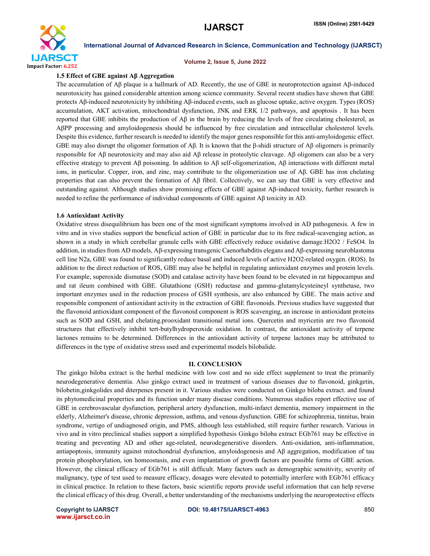

#### Volume 2, Issue 5, June 2022

#### 1.5 Effect of GBE against Aβ Aggregation

The accumulation of Aβ plaque is a hallmark of AD. Recently, the use of GBE in neuroprotection against Aβ-induced neurotoxicity has gained considerable attention among science community. Several recent studies have shown that GBE protects Aβ-induced neurotoxicity by inhibiting Aβ-induced events, such as glucose uptake, active oxygen. Types (ROS) accumulation, AKT activation, mitochondrial dysfunction, JNK and ERK 1/2 pathways, and apoptosis . It has been reported that GBE inhibits the production of Aβ in the brain by reducing the levels of free circulating cholesterol, as AβPP processing and amyloidogenesis should be influenced by free circulation and intracellular cholesterol levels. Despite this evidence, further research is needed to identify the major genes responsible for this anti-amyloidogenic effect. GBE may also disrupt the oligomer formation of Aβ. It is known that the β-shidi structure of Aβ oligomers is primarily responsible for Aβ neurotoxicity and may also aid Aβ release in proteolytic cleavage. Aβ oligomers can also be a very effective strategy to prevent Aβ poisoning. In addition to Aβ self-oligomerization, Aβ interactions with different metal ions, in particular. Copper, iron, and zinc, may contribute to the oligomerization use of Aβ. GBE has iron chelating properties that can also prevent the formation of Aβ fibril. Collectively, we can say that GBE is very effective and outstanding against. Although studies show promising effects of GBE against Aβ-induced toxicity, further research is needed to refine the performance of individual components of GBE against Aβ toxicity in AD.

#### 1.6 Antioxidant Activity

Oxidative stress disequilibrium has been one of the most significant symptoms involved in AD pathogenesis. A few in vitro and in vivo studies support the beneficial action of GBE in particular due to its free radical-scavenging action, as shown in a study in which cerebellar granule cells with GBE effectively reduce oxidative damage.H2O2 / FeSO4. In addition, in studies from AD models, Aβ-expressing transgenic Caenorhabditis elegans and Aβ-expressing neuroblastoma cell line N2a, GBE was found to significantly reduce basal and induced levels of active H2O2-related oxygen. (ROS). In addition to the direct reduction of ROS, GBE may also be helpful in regulating antioxidant enzymes and protein levels. For example, superoxide dismutase (SOD) and catalase activity have been found to be elevated in rat hippocampus and and rat ileum combined with GBE. Glutathione (GSH) reductase and gamma-glutamylcysteineyl synthetase, two important enzymes used in the reduction process of GSH synthesis, are also enhanced by GBE. The main active and responsible component of antioxidant activity in the extraction of GBE flavonoids. Previous studies have suggested that the flavonoid antioxidant component of the flavonoid component is ROS scavenging, an increase in antioxidant proteins such as SOD and GSH, and chelating.prooxidant transitional metal ions. Quercetin and myricetin are two flavonoid structures that effectively inhibit tert-butylhydroperoxide oxidation. In contrast, the antioxidant activity of terpene lactones remains to be determined. Differences in the antioxidant activity of terpene lactones may be attributed to differences in the type of oxidative stress used and experimental models bilobalide.

#### II. CONCLUSION

The ginkgo biloba extract is the herbal medicine with low cost and no side effect supplement to treat the primarily neurodegenerative dementia. Also ginkgo extract used in treatment of various diseases due to flavonoid, ginkgetin, bilobetin,ginkgolides and diterpenes present in it. Various studies were conducted on Ginkgo biloba extract. and found its phytomedicinal properties and its function under many disease conditions. Numerous studies report effective use of GBE in cerebrovascular dysfunction, peripheral artery dysfunction, multi-infarct dementia, memory impairment in the elderly, Alzheimer's disease, chronic depression, asthma, and venous dysfunction. GBE for schizophrenia, tinnitus, brain syndrome, vertigo of undiagnosed origin, and PMS, although less established, still require further research. Various in vivo and in vitro preclinical studies support a simplified hypothesis Ginkgo biloba extract EGb761 may be effective in treating and preventing AD and other age-related, neurodegenerative disorders. Anti-oxidation, anti-inflammation, antiapoptosis, immunity against mitochondrial dysfunction, amyloidogenesis and Aβ aggregation, modification of tau protein phosphorylation, ion homeostasis, and even implantation of growth factors are possible forms of GBE action. However, the clinical efficacy of EGb761 is still difficult. Many factors such as demographic sensitivity, severity of malignancy, type of test used to measure efficacy, dosages were elevated to potentially interfere with EGb761 efficacy in clinical practice. In relation to these factors, basic scientific reports provide useful information that can help reverse the clinical efficacy of this drug. Overall, a better understanding of the mechanisms underlying the neuroprotective effects

www.ijarsct.co.in